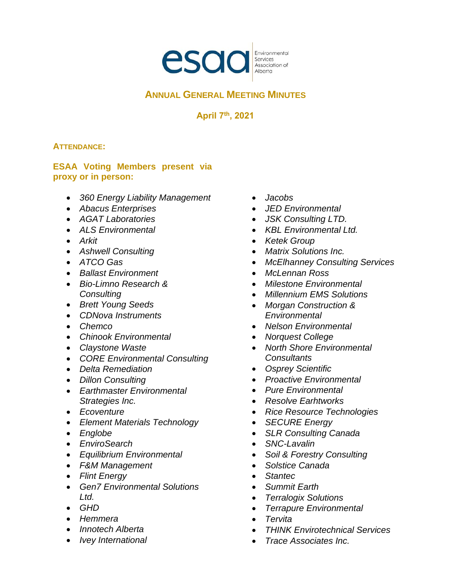

# **ANNUAL GENERAL MEETING MINUTES**

**April 7th, 2021**

## **ATTENDANCE:**

## **ESAA Voting Members present via proxy or in person:**

- *360 Energy Liability Management*
- *Abacus Enterprises*
- *AGAT Laboratories*
- *ALS Environmental*
- *Arkit*
- *Ashwell Consulting*
- *ATCO Gas*
- *Ballast Environment*
- *Bio-Limno Research & Consulting*
- *Brett Young Seeds*
- *CDNova Instruments*
- *Chemco*
- *Chinook Environmental*
- *Claystone Waste*
- *CORE Environmental Consulting*
- *Delta Remediation*
- *Dillon Consulting*
- *Earthmaster Environmental Strategies Inc.*
- *Ecoventure*
- *Element Materials Technology*
- *Englobe*
- *EnviroSearch*
- *Equilibrium Environmental*
- *F&M Management*
- *Flint Energy*
- *Gen7 Environmental Solutions Ltd.*
- *GHD*
- *Hemmera*
- *Innotech Alberta*
- *Ivey International*
- *Jacobs*
- *JED Environmental*
- *JSK Consulting LTD.*
- *KBL Environmental Ltd.*
- *Ketek Group*
- *Matrix Solutions Inc.*
- *McElhanney Consulting Services*
- *McLennan Ross*
- *Milestone Environmental*
- *Millennium EMS Solutions*
- *Morgan Construction & Environmental*
- *Nelson Environmental*
- *Norquest College*
- *North Shore Environmental Consultants*
- *Osprey Scientific*
- *Proactive Environmental*
- *Pure Environmental*
- *Resolve Earhtworks*
- *Rice Resource Technologies*
- *SECURE Energy*
- *SLR Consulting Canada*
- *SNC-Lavalin*
- *Soil & Forestry Consulting*
- *Solstice Canada*
- *Stantec*
- *Summit Earth*
- *Terralogix Solutions*
- *Terrapure Environmental*
- *Tervita*
- *THINK Envirotechnical Services*
- *Trace Associates Inc.*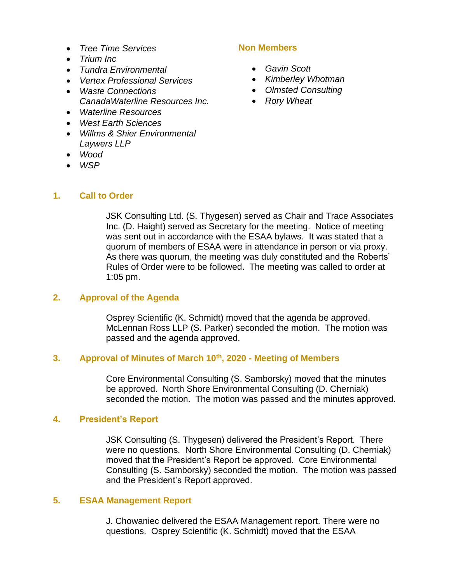- *Tree Time Services*
- *Trium Inc*
- *Tundra Environmental*
- *Vertex Professional Services*
- *Waste Connections CanadaWaterline Resources Inc.*
- *Waterline Resources*
- *West Earth Sciences*
- *Willms & Shier Environmental Laywers LLP*
- *Wood*

**1. Call to Order**

• *WSP*

## **Non Members**

- *Gavin Scott*
- *Kimberley Whotman*
- *Olmsted Consulting*
- *Rory Wheat*

JSK Consulting Ltd. (S. Thygesen) served as Chair and Trace Associates Inc. (D. Haight) served as Secretary for the meeting. Notice of meeting was sent out in accordance with the ESAA bylaws. It was stated that a quorum of members of ESAA were in attendance in person or via proxy. As there was quorum, the meeting was duly constituted and the Roberts' Rules of Order were to be followed. The meeting was called to order at 1:05 pm.

## **2. Approval of the Agenda**

Osprey Scientific (K. Schmidt) moved that the agenda be approved. McLennan Ross LLP (S. Parker) seconded the motion. The motion was passed and the agenda approved.

## **3. Approval of Minutes of March 10th, 2020 - Meeting of Members**

Core Environmental Consulting (S. Samborsky) moved that the minutes be approved. North Shore Environmental Consulting (D. Cherniak) seconded the motion. The motion was passed and the minutes approved.

## **4. President's Report**

JSK Consulting (S. Thygesen) delivered the President's Report. There were no questions. North Shore Environmental Consulting (D. Cherniak) moved that the President's Report be approved. Core Environmental Consulting (S. Samborsky) seconded the motion. The motion was passed and the President's Report approved.

## **5. ESAA Management Report**

J. Chowaniec delivered the ESAA Management report. There were no questions. Osprey Scientific (K. Schmidt) moved that the ESAA